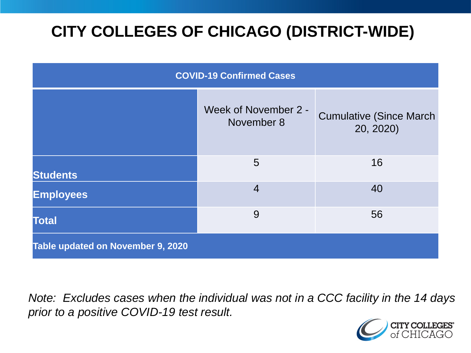# **CITY COLLEGES OF CHICAGO (DISTRICT-WIDE)**

| <b>COVID-19 Confirmed Cases</b>   |                                    |                                              |
|-----------------------------------|------------------------------------|----------------------------------------------|
|                                   | Week of November 2 -<br>November 8 | <b>Cumulative (Since March)</b><br>20, 2020) |
| <b>Students</b>                   | 5                                  | 16                                           |
| <b>Employees</b>                  | $\overline{4}$                     | 40                                           |
| <b>Total</b>                      | 9                                  | 56                                           |
| Table updated on November 9, 2020 |                                    |                                              |

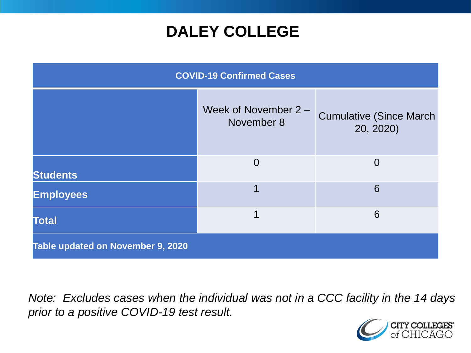### **DALEY COLLEGE**

| <b>COVID-19 Confirmed Cases</b>   |                                    |                                              |
|-----------------------------------|------------------------------------|----------------------------------------------|
|                                   | Week of November 2 -<br>November 8 | <b>Cumulative (Since March)</b><br>20, 2020) |
| <b>Students</b>                   | $\Omega$                           | 0                                            |
| <b>Employees</b>                  |                                    | 6                                            |
| <b>Total</b>                      | 1                                  | 6                                            |
| Table updated on November 9, 2020 |                                    |                                              |

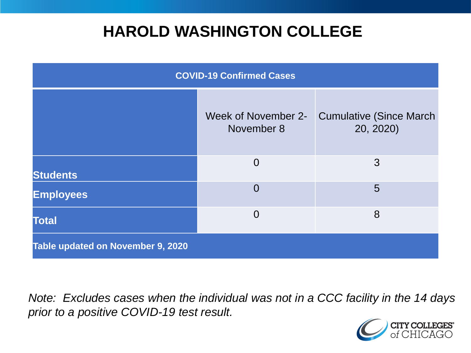### **HAROLD WASHINGTON COLLEGE**

| <b>COVID-19 Confirmed Cases</b>   |                                   |                                              |
|-----------------------------------|-----------------------------------|----------------------------------------------|
|                                   | Week of November 2-<br>November 8 | <b>Cumulative (Since March)</b><br>20, 2020) |
| <b>Students</b>                   | $\overline{0}$                    | 3                                            |
| <b>Employees</b>                  | $\overline{0}$                    | 5                                            |
| <b>Total</b>                      | $\overline{0}$                    | 8                                            |
| Table updated on November 9, 2020 |                                   |                                              |

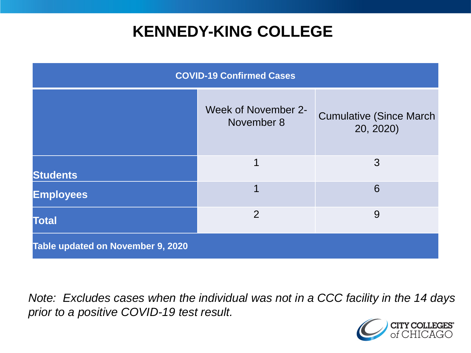### **KENNEDY-KING COLLEGE**

| <b>COVID-19 Confirmed Cases</b>   |                                   |                                              |
|-----------------------------------|-----------------------------------|----------------------------------------------|
|                                   | Week of November 2-<br>November 8 | <b>Cumulative (Since March)</b><br>20, 2020) |
| <b>Students</b>                   | 1                                 | 3                                            |
| <b>Employees</b>                  |                                   | 6                                            |
| <b>Total</b>                      | $\overline{2}$                    | 9                                            |
| Table updated on November 9, 2020 |                                   |                                              |

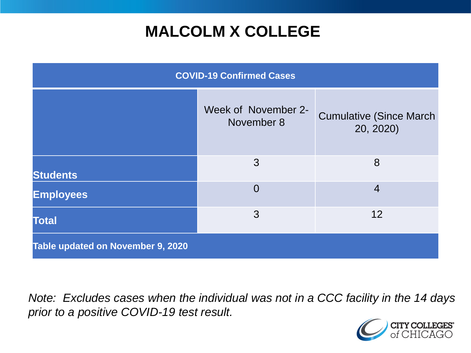## **MALCOLM X COLLEGE**

| <b>COVID-19 Confirmed Cases</b>   |                                   |                                              |
|-----------------------------------|-----------------------------------|----------------------------------------------|
|                                   | Week of November 2-<br>November 8 | <b>Cumulative (Since March)</b><br>20, 2020) |
| <b>Students</b>                   | 3                                 | 8                                            |
| <b>Employees</b>                  | $\overline{0}$                    | $\overline{4}$                               |
| <b>Total</b>                      | 3                                 | 12                                           |
| Table updated on November 9, 2020 |                                   |                                              |

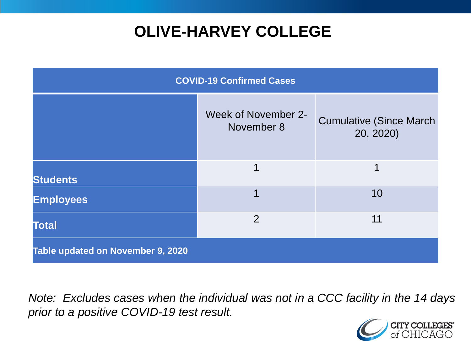## **OLIVE-HARVEY COLLEGE**

| <b>COVID-19 Confirmed Cases</b>   |                                   |                                              |
|-----------------------------------|-----------------------------------|----------------------------------------------|
|                                   | Week of November 2-<br>November 8 | <b>Cumulative (Since March)</b><br>20, 2020) |
| <b>Students</b>                   | 1                                 | 1                                            |
| <b>Employees</b>                  | 1                                 | 10                                           |
| <b>Total</b>                      | $\overline{2}$                    | 11                                           |
| Table updated on November 9, 2020 |                                   |                                              |

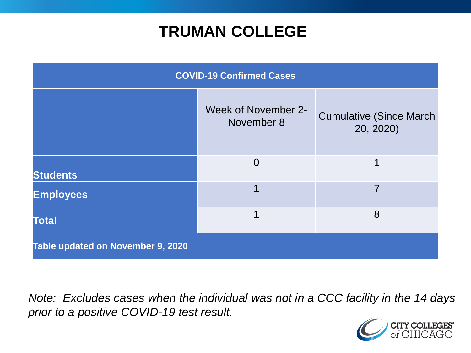### **TRUMAN COLLEGE**

| <b>COVID-19 Confirmed Cases</b>          |                                   |                                              |
|------------------------------------------|-----------------------------------|----------------------------------------------|
|                                          | Week of November 2-<br>November 8 | <b>Cumulative (Since March)</b><br>20, 2020) |
| <b>Students</b>                          | $\overline{0}$                    | 1                                            |
| <b>Employees</b>                         |                                   | 7                                            |
| <b>Total</b>                             |                                   | 8                                            |
| <b>Table updated on November 9, 2020</b> |                                   |                                              |